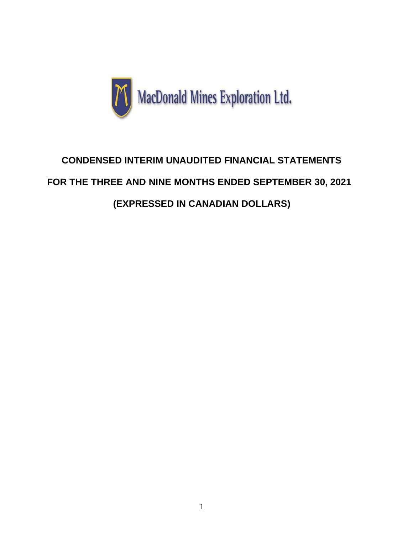

# **CONDENSED INTERIM UNAUDITED FINANCIAL STATEMENTS FOR THE THREE AND NINE MONTHS ENDED SEPTEMBER 30, 2021 (EXPRESSED IN CANADIAN DOLLARS)**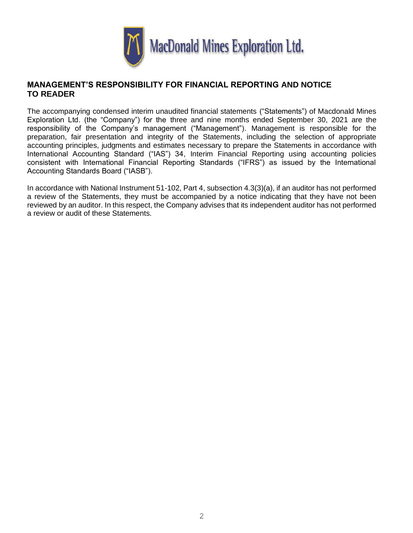

### **MANAGEMENT'S RESPONSIBILITY FOR FINANCIAL REPORTING AND NOTICE TO READER**

The accompanying condensed interim unaudited financial statements ("Statements") of Macdonald Mines Exploration Ltd. (the "Company") for the three and nine months ended September 30, 2021 are the responsibility of the Company's management ("Management"). Management is responsible for the preparation, fair presentation and integrity of the Statements, including the selection of appropriate accounting principles, judgments and estimates necessary to prepare the Statements in accordance with International Accounting Standard ("IAS") 34, Interim Financial Reporting using accounting policies consistent with International Financial Reporting Standards ("IFRS") as issued by the International Accounting Standards Board ("IASB").

In accordance with National Instrument 51-102, Part 4, subsection 4.3(3)(a), if an auditor has not performed a review of the Statements, they must be accompanied by a notice indicating that they have not been reviewed by an auditor. In this respect, the Company advises that its independent auditor has not performed a review or audit of these Statements.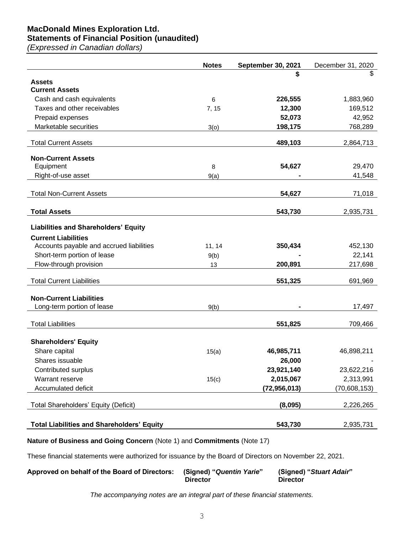## **MacDonald Mines Exploration Ltd.**

# **Statements of Financial Position (unaudited)**

*(Expressed in Canadian dollars)*

|                                                   | <b>Notes</b> | September 30, 2021 | December 31, 2020 |
|---------------------------------------------------|--------------|--------------------|-------------------|
|                                                   |              | S                  |                   |
| <b>Assets</b><br><b>Current Assets</b>            |              |                    |                   |
| Cash and cash equivalents                         | 6            | 226,555            | 1,883,960         |
| Taxes and other receivables                       | 7, 15        | 12,300             | 169,512           |
| Prepaid expenses                                  |              | 52,073             | 42,952            |
| Marketable securities                             | 3(0)         | 198,175            | 768,289           |
| <b>Total Current Assets</b>                       |              | 489,103            | 2,864,713         |
|                                                   |              |                    |                   |
| <b>Non-Current Assets</b>                         |              |                    |                   |
| Equipment                                         | 8            | 54,627             | 29,470            |
| Right-of-use asset                                | 9(a)         |                    | 41,548            |
| <b>Total Non-Current Assets</b>                   |              | 54,627             | 71,018            |
|                                                   |              |                    |                   |
| <b>Total Assets</b>                               |              | 543,730            | 2,935,731         |
| <b>Liabilities and Shareholders' Equity</b>       |              |                    |                   |
| <b>Current Liabilities</b>                        |              |                    |                   |
| Accounts payable and accrued liabilities          | 11, 14       | 350,434            | 452,130           |
| Short-term portion of lease                       | 9(b)         |                    | 22,141            |
| Flow-through provision                            | 13           | 200,891            | 217,698           |
| <b>Total Current Liabilities</b>                  |              | 551,325            | 691,969           |
|                                                   |              |                    |                   |
| <b>Non-Current Liabilities</b>                    |              |                    |                   |
| Long-term portion of lease                        | 9(b)         |                    | 17,497            |
| <b>Total Liabilities</b>                          |              | 551,825            | 709,466           |
|                                                   |              |                    |                   |
| <b>Shareholders' Equity</b>                       |              |                    |                   |
| Share capital                                     | 15(a)        | 46,985,711         | 46,898,211        |
| Shares issuable                                   |              | 26,000             |                   |
| Contributed surplus                               |              | 23,921,140         | 23,622,216        |
| Warrant reserve                                   | 15(c)        | 2,015,067          | 2,313,991         |
| Accumulated deficit                               |              | (72, 956, 013)     | (70, 608, 153)    |
|                                                   |              |                    |                   |
| Total Shareholders' Equity (Deficit)              |              | (8,095)            | 2,226,265         |
| <b>Total Liabilities and Shareholders' Equity</b> |              | 543,730            | 2,935,731         |
|                                                   |              |                    |                   |

**Nature of Business and Going Concern** (Note 1) and **Commitments** (Note 17)

These financial statements were authorized for issuance by the Board of Directors on November 22, 2021.

| Approved on behalf of the Board of Directors: | (Signed) "Quentin Yarie"<br><b>Director</b> | (Signed) "Stuart Adair"<br><b>Director</b> |
|-----------------------------------------------|---------------------------------------------|--------------------------------------------|
|                                               |                                             |                                            |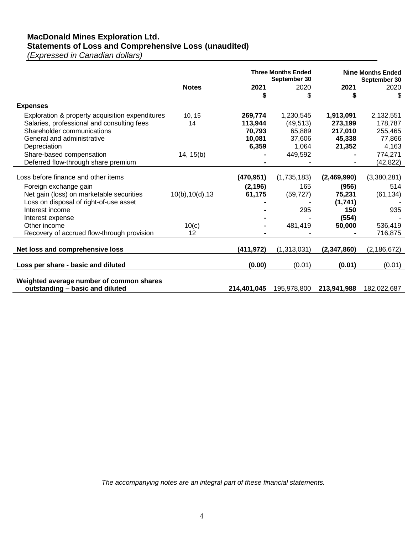# **MacDonald Mines Exploration Ltd.**

**Statements of Loss and Comprehensive Loss (unaudited)**

*(Expressed in Canadian dollars)*

|                                                           |                  | <b>Three Months Ended</b><br>September 30 |             | <b>Nine Months Ended</b><br>September 30 |               |
|-----------------------------------------------------------|------------------|-------------------------------------------|-------------|------------------------------------------|---------------|
|                                                           | <b>Notes</b>     | 2021                                      | 2020        | 2021                                     | 2020          |
|                                                           |                  | \$                                        | \$          | \$                                       | \$            |
| <b>Expenses</b>                                           |                  |                                           |             |                                          |               |
| Exploration & property acquisition expenditures           | 10, 15           | 269,774                                   | 1,230,545   | 1,913,091                                | 2,132,551     |
| Salaries, professional and consulting fees                | 14               | 113,944                                   | (49, 513)   | 273,199                                  | 178,787       |
| Shareholder communications                                |                  | 70,793                                    | 65,889      | 217,010                                  | 255,465       |
| General and administrative                                |                  | 10,081                                    | 37,606      | 45,338                                   | 77,866        |
| Depreciation                                              |                  | 6,359                                     | 1,064       | 21,352                                   | 4,163         |
| Share-based compensation                                  | 14, 15(b)        |                                           | 449,592     |                                          | 774,271       |
| Deferred flow-through share premium                       |                  |                                           |             |                                          | (42, 822)     |
| Loss before finance and other items                       |                  | (470, 951)                                | (1,735,183) | (2,469,990)                              | (3,380,281)   |
|                                                           |                  |                                           | 165         |                                          | 514           |
| Foreign exchange gain                                     |                  | (2, 196)                                  |             | (956)                                    |               |
| Net gain (loss) on marketable securities                  | 10(b), 10(d), 13 | 61,175                                    | (59, 727)   | 75,231                                   | (61, 134)     |
| Loss on disposal of right-of-use asset<br>Interest income |                  |                                           |             | (1,741)                                  |               |
|                                                           |                  |                                           | 295         | 150                                      | 935           |
| Interest expense                                          |                  |                                           |             | (554)                                    |               |
| Other income                                              | 10(c)            |                                           | 481,419     | 50,000                                   | 536,419       |
| Recovery of accrued flow-through provision                | 12               |                                           |             |                                          | 716,875       |
| Net loss and comprehensive loss                           |                  | (411,972)                                 | (1,313,031) | (2,347,860)                              | (2, 186, 672) |
|                                                           |                  |                                           |             |                                          |               |
| Loss per share - basic and diluted                        |                  | (0.00)                                    | (0.01)      | (0.01)                                   | (0.01)        |
| Weighted average number of common shares                  |                  |                                           |             |                                          |               |
| outstanding - basic and diluted                           |                  | 214,401,045                               | 195,978,800 | 213,941,988                              | 182,022,687   |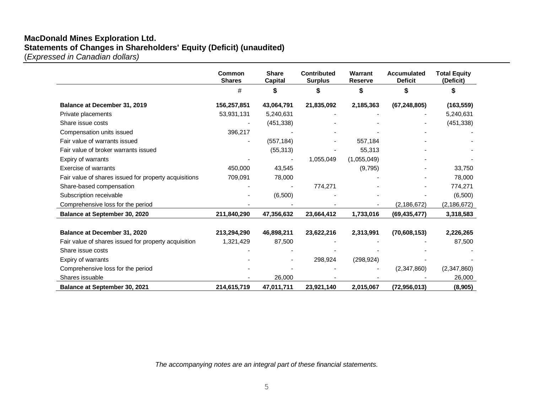### **MacDonald Mines Exploration Ltd. Statements of Changes in Shareholders' Equity (Deficit) (unaudited)**

(*Expressed in Canadian dollars)*

|                                                       | Common<br><b>Shares</b> | <b>Share</b><br><b>Capital</b> | <b>Contributed</b><br><b>Surplus</b> | Warrant<br><b>Reserve</b> | Accumulated<br><b>Deficit</b> | <b>Total Equity</b><br>(Deficit) |
|-------------------------------------------------------|-------------------------|--------------------------------|--------------------------------------|---------------------------|-------------------------------|----------------------------------|
|                                                       | $\#$                    | S                              |                                      | S                         |                               |                                  |
| Balance at December 31, 2019                          | 156,257,851             | 43,064,791                     | 21,835,092                           | 2,185,363                 | (67, 248, 805)                | (163, 559)                       |
| Private placements                                    | 53,931,131              | 5,240,631                      |                                      |                           |                               | 5,240,631                        |
| Share issue costs                                     |                         | (451, 338)                     |                                      |                           |                               | (451, 338)                       |
| Compensation units issued                             | 396,217                 |                                |                                      |                           |                               |                                  |
| Fair value of warrants issued                         |                         | (557, 184)                     |                                      | 557,184                   |                               |                                  |
| Fair value of broker warrants issued                  |                         | (55, 313)                      |                                      | 55,313                    |                               |                                  |
| Expiry of warrants                                    |                         |                                | 1,055,049                            | (1,055,049)               |                               |                                  |
| Exercise of warrants                                  | 450,000                 | 43,545                         |                                      | (9,795)                   |                               | 33,750                           |
| Fair value of shares issued for property acquisitions | 709,091                 | 78,000                         |                                      |                           |                               | 78,000                           |
| Share-based compensation                              |                         |                                | 774,271                              |                           |                               | 774,271                          |
| Subscription receivable                               |                         | (6,500)                        |                                      |                           |                               | (6,500)                          |
| Comprehensive loss for the period                     |                         |                                |                                      |                           | (2, 186, 672)                 | (2, 186, 672)                    |
| Balance at September 30, 2020                         | 211,840,290             | 47,356,632                     | 23,664,412                           | 1,733,016                 | (69, 435, 477)                | 3,318,583                        |
| Balance at December 31, 2020                          | 213,294,290             | 46,898,211                     | 23,622,216                           | 2,313,991                 | (70,608,153)                  | 2,226,265                        |
| Fair value of shares issued for property acquisition  | 1,321,429               | 87,500                         |                                      |                           |                               | 87,500                           |
| Share issue costs                                     |                         |                                |                                      |                           |                               |                                  |
| Expiry of warrants                                    |                         |                                | 298,924                              | (298, 924)                |                               |                                  |
| Comprehensive loss for the period                     |                         |                                |                                      |                           | (2,347,860)                   | (2,347,860)                      |
| Shares issuable                                       |                         | 26,000                         |                                      |                           |                               | 26,000                           |
| <b>Balance at September 30, 2021</b>                  | 214,615,719             | 47,011,711                     | 23,921,140                           | 2,015,067                 | (72, 956, 013)                | (8,905)                          |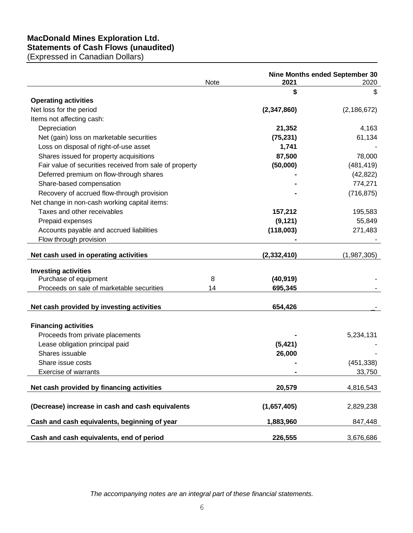### **MacDonald Mines Exploration Ltd. Statements of Cash Flows (unaudited)**

(Expressed in Canadian Dollars)

|                                                         | Note | 2021          | Nine Months ended September 30<br>2020 |
|---------------------------------------------------------|------|---------------|----------------------------------------|
|                                                         |      | \$            | \$                                     |
| <b>Operating activities</b>                             |      |               |                                        |
| Net loss for the period                                 |      | (2,347,860)   | (2, 186, 672)                          |
| Items not affecting cash:                               |      |               |                                        |
| Depreciation                                            |      | 21,352        | 4,163                                  |
| Net (gain) loss on marketable securities                |      | (75, 231)     | 61,134                                 |
| Loss on disposal of right-of-use asset                  |      | 1,741         |                                        |
| Shares issued for property acquisitions                 |      | 87,500        | 78,000                                 |
| Fair value of securities received from sale of property |      | (50,000)      | (481, 419)                             |
| Deferred premium on flow-through shares                 |      |               | (42, 822)                              |
| Share-based compensation                                |      |               | 774,271                                |
| Recovery of accrued flow-through provision              |      |               | (716, 875)                             |
| Net change in non-cash working capital items:           |      |               |                                        |
| Taxes and other receivables                             |      | 157,212       | 195,583                                |
| Prepaid expenses                                        |      | (9, 121)      | 55,849                                 |
| Accounts payable and accrued liabilities                |      | (118,003)     | 271,483                                |
| Flow through provision                                  |      |               |                                        |
|                                                         |      |               |                                        |
| Net cash used in operating activities                   |      | (2, 332, 410) | (1,987,305)                            |
| <b>Investing activities</b>                             |      |               |                                        |
| Purchase of equipment                                   | 8    | (40, 919)     |                                        |
| Proceeds on sale of marketable securities               | 14   | 695,345       |                                        |
|                                                         |      |               |                                        |
| Net cash provided by investing activities               |      | 654,426       |                                        |
|                                                         |      |               |                                        |
| <b>Financing activities</b>                             |      |               |                                        |
| Proceeds from private placements                        |      |               | 5,234,131                              |
| Lease obligation principal paid                         |      | (5, 421)      |                                        |
| Shares issuable                                         |      | 26,000        |                                        |
| Share issue costs                                       |      |               | (451, 338)                             |
| <b>Exercise of warrants</b>                             |      |               | 33,750                                 |
| Net cash provided by financing activities               |      | 20,579        | 4,816,543                              |
|                                                         |      |               |                                        |
| (Decrease) increase in cash and cash equivalents        |      | (1,657,405)   | 2,829,238                              |
| Cash and cash equivalents, beginning of year            |      | 1,883,960     | 847,448                                |
| Cash and cash equivalents, end of period                |      | 226,555       | 3,676,686                              |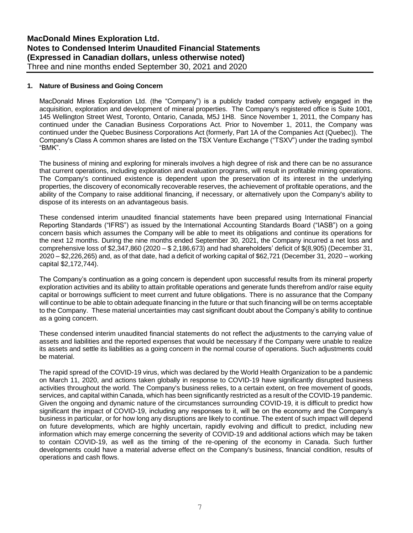#### **1. Nature of Business and Going Concern**

MacDonald Mines Exploration Ltd. (the "Company") is a publicly traded company actively engaged in the acquisition, exploration and development of mineral properties. The Company's registered office is Suite 1001, 145 Wellington Street West, Toronto, Ontario, Canada, M5J 1H8. Since November 1, 2011, the Company has continued under the Canadian Business Corporations Act. Prior to November 1, 2011, the Company was continued under the Quebec Business Corporations Act (formerly, Part 1A of the Companies Act (Quebec)). The Company's Class A common shares are listed on the TSX Venture Exchange ("TSXV") under the trading symbol "BMK".

The business of mining and exploring for minerals involves a high degree of risk and there can be no assurance that current operations, including exploration and evaluation programs, will result in profitable mining operations. The Company's continued existence is dependent upon the preservation of its interest in the underlying properties, the discovery of economically recoverable reserves, the achievement of profitable operations, and the ability of the Company to raise additional financing, if necessary, or alternatively upon the Company's ability to dispose of its interests on an advantageous basis.

These condensed interim unaudited financial statements have been prepared using International Financial Reporting Standards ("IFRS") as issued by the International Accounting Standards Board ("IASB") on a going concern basis which assumes the Company will be able to meet its obligations and continue its operations for the next 12 months. During the nine months ended September 30, 2021, the Company incurred a net loss and comprehensive loss of \$2,347,860 (2020 – \$ 2,186,673) and had shareholders' deficit of \$(8,905) (December 31, 2020 – \$2,226,265) and, as of that date, had a deficit of working capital of \$62,721 (December 31, 2020 – working capital \$2,172,744).

The Company's continuation as a going concern is dependent upon successful results from its mineral property exploration activities and its ability to attain profitable operations and generate funds therefrom and/or raise equity capital or borrowings sufficient to meet current and future obligations. There is no assurance that the Company will continue to be able to obtain adequate financing in the future or that such financing will be on terms acceptable to the Company. These material uncertainties may cast significant doubt about the Company's ability to continue as a going concern.

These condensed interim unaudited financial statements do not reflect the adjustments to the carrying value of assets and liabilities and the reported expenses that would be necessary if the Company were unable to realize its assets and settle its liabilities as a going concern in the normal course of operations. Such adjustments could be material.

The rapid spread of the COVID-19 virus, which was declared by the World Health Organization to be a pandemic on March 11, 2020, and actions taken globally in response to COVID-19 have significantly disrupted business activities throughout the world. The Company's business relies, to a certain extent, on free movement of goods, services, and capital within Canada, which has been significantly restricted as a result of the COVID-19 pandemic. Given the ongoing and dynamic nature of the circumstances surrounding COVID-19, it is difficult to predict how significant the impact of COVID-19, including any responses to it, will be on the economy and the Company's business in particular, or for how long any disruptions are likely to continue. The extent of such impact will depend on future developments, which are highly uncertain, rapidly evolving and difficult to predict, including new information which may emerge concerning the severity of COVID-19 and additional actions which may be taken to contain COVID-19, as well as the timing of the re-opening of the economy in Canada. Such further developments could have a material adverse effect on the Company's business, financial condition, results of operations and cash flows.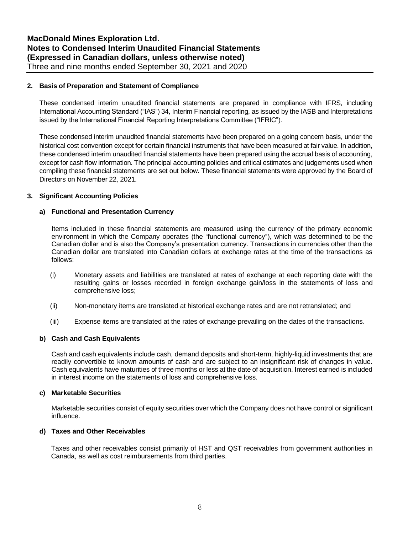#### **2. Basis of Preparation and Statement of Compliance**

These condensed interim unaudited financial statements are prepared in compliance with IFRS, including International Accounting Standard ("IAS") 34, Interim Financial reporting, as issued by the IASB and Interpretations issued by the International Financial Reporting Interpretations Committee ("IFRIC").

These condensed interim unaudited financial statements have been prepared on a going concern basis, under the historical cost convention except for certain financial instruments that have been measured at fair value. In addition, these condensed interim unaudited financial statements have been prepared using the accrual basis of accounting, except for cash flow information. The principal accounting policies and critical estimates and judgements used when compiling these financial statements are set out below. These financial statements were approved by the Board of Directors on November 22, 2021.

#### **3. Significant Accounting Policies**

#### **a) Functional and Presentation Currency**

Items included in these financial statements are measured using the currency of the primary economic environment in which the Company operates (the "functional currency"), which was determined to be the Canadian dollar and is also the Company's presentation currency. Transactions in currencies other than the Canadian dollar are translated into Canadian dollars at exchange rates at the time of the transactions as follows:

- (i) Monetary assets and liabilities are translated at rates of exchange at each reporting date with the resulting gains or losses recorded in foreign exchange gain/loss in the statements of loss and comprehensive loss;
- (ii) Non-monetary items are translated at historical exchange rates and are not retranslated; and
- (iii) Expense items are translated at the rates of exchange prevailing on the dates of the transactions.

#### **b) Cash and Cash Equivalents**

Cash and cash equivalents include cash, demand deposits and short-term, highly-liquid investments that are readily convertible to known amounts of cash and are subject to an insignificant risk of changes in value. Cash equivalents have maturities of three months or less at the date of acquisition. Interest earned is included in interest income on the statements of loss and comprehensive loss.

#### **c) Marketable Securities**

Marketable securities consist of equity securities over which the Company does not have control or significant influence.

#### **d) Taxes and Other Receivables**

Taxes and other receivables consist primarily of HST and QST receivables from government authorities in Canada, as well as cost reimbursements from third parties.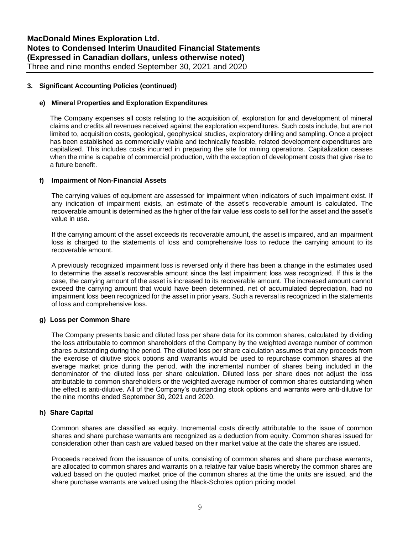#### **e) Mineral Properties and Exploration Expenditures**

The Company expenses all costs relating to the acquisition of, exploration for and development of mineral claims and credits all revenues received against the exploration expenditures. Such costs include, but are not limited to, acquisition costs, geological, geophysical studies, exploratory drilling and sampling. Once a project has been established as commercially viable and technically feasible, related development expenditures are capitalized. This includes costs incurred in preparing the site for mining operations. Capitalization ceases when the mine is capable of commercial production, with the exception of development costs that give rise to a future benefit.

#### **f) Impairment of Non-Financial Assets**

The carrying values of equipment are assessed for impairment when indicators of such impairment exist. If any indication of impairment exists, an estimate of the asset's recoverable amount is calculated. The recoverable amount is determined as the higher of the fair value less costs to sell for the asset and the asset's value in use.

If the carrying amount of the asset exceeds its recoverable amount, the asset is impaired, and an impairment loss is charged to the statements of loss and comprehensive loss to reduce the carrying amount to its recoverable amount.

A previously recognized impairment loss is reversed only if there has been a change in the estimates used to determine the asset's recoverable amount since the last impairment loss was recognized. If this is the case, the carrying amount of the asset is increased to its recoverable amount. The increased amount cannot exceed the carrying amount that would have been determined, net of accumulated depreciation, had no impairment loss been recognized for the asset in prior years. Such a reversal is recognized in the statements of loss and comprehensive loss.

#### **g) Loss per Common Share**

The Company presents basic and diluted loss per share data for its common shares, calculated by dividing the loss attributable to common shareholders of the Company by the weighted average number of common shares outstanding during the period. The diluted loss per share calculation assumes that any proceeds from the exercise of dilutive stock options and warrants would be used to repurchase common shares at the average market price during the period, with the incremental number of shares being included in the denominator of the diluted loss per share calculation. Diluted loss per share does not adjust the loss attributable to common shareholders or the weighted average number of common shares outstanding when the effect is anti-dilutive. All of the Company's outstanding stock options and warrants were anti-dilutive for the nine months ended September 30, 2021 and 2020.

#### **h) Share Capital**

Common shares are classified as equity. Incremental costs directly attributable to the issue of common shares and share purchase warrants are recognized as a deduction from equity. Common shares issued for consideration other than cash are valued based on their market value at the date the shares are issued.

Proceeds received from the issuance of units, consisting of common shares and share purchase warrants, are allocated to common shares and warrants on a relative fair value basis whereby the common shares are valued based on the quoted market price of the common shares at the time the units are issued, and the share purchase warrants are valued using the Black-Scholes option pricing model.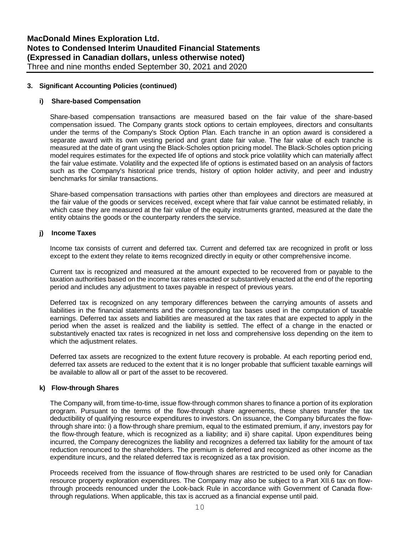#### **i) Share-based Compensation**

Share-based compensation transactions are measured based on the fair value of the share-based compensation issued. The Company grants stock options to certain employees, directors and consultants under the terms of the Company's Stock Option Plan. Each tranche in an option award is considered a separate award with its own vesting period and grant date fair value. The fair value of each tranche is measured at the date of grant using the Black-Scholes option pricing model. The Black-Scholes option pricing model requires estimates for the expected life of options and stock price volatility which can materially affect the fair value estimate. Volatility and the expected life of options is estimated based on an analysis of factors such as the Company's historical price trends, history of option holder activity, and peer and industry benchmarks for similar transactions.

Share-based compensation transactions with parties other than employees and directors are measured at the fair value of the goods or services received, except where that fair value cannot be estimated reliably, in which case they are measured at the fair value of the equity instruments granted, measured at the date the entity obtains the goods or the counterparty renders the service.

#### **j) Income Taxes**

Income tax consists of current and deferred tax. Current and deferred tax are recognized in profit or loss except to the extent they relate to items recognized directly in equity or other comprehensive income.

Current tax is recognized and measured at the amount expected to be recovered from or payable to the taxation authorities based on the income tax rates enacted or substantively enacted at the end of the reporting period and includes any adjustment to taxes payable in respect of previous years.

Deferred tax is recognized on any temporary differences between the carrying amounts of assets and liabilities in the financial statements and the corresponding tax bases used in the computation of taxable earnings. Deferred tax assets and liabilities are measured at the tax rates that are expected to apply in the period when the asset is realized and the liability is settled. The effect of a change in the enacted or substantively enacted tax rates is recognized in net loss and comprehensive loss depending on the item to which the adjustment relates.

Deferred tax assets are recognized to the extent future recovery is probable. At each reporting period end, deferred tax assets are reduced to the extent that it is no longer probable that sufficient taxable earnings will be available to allow all or part of the asset to be recovered.

#### **k) Flow-through Shares**

The Company will, from time-to-time, issue flow-through common shares to finance a portion of its exploration program. Pursuant to the terms of the flow-through share agreements, these shares transfer the tax deductibility of qualifying resource expenditures to investors. On issuance, the Company bifurcates the flowthrough share into: i) a flow-through share premium, equal to the estimated premium, if any, investors pay for the flow-through feature, which is recognized as a liability; and ii) share capital. Upon expenditures being incurred, the Company derecognizes the liability and recognizes a deferred tax liability for the amount of tax reduction renounced to the shareholders. The premium is deferred and recognized as other income as the expenditure incurs, and the related deferred tax is recognized as a tax provision.

Proceeds received from the issuance of flow-through shares are restricted to be used only for Canadian resource property exploration expenditures. The Company may also be subject to a Part XII.6 tax on flowthrough proceeds renounced under the Look-back Rule in accordance with Government of Canada flowthrough regulations. When applicable, this tax is accrued as a financial expense until paid.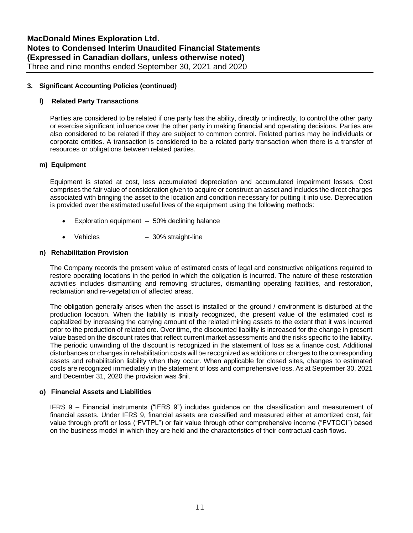#### **l) Related Party Transactions**

Parties are considered to be related if one party has the ability, directly or indirectly, to control the other party or exercise significant influence over the other party in making financial and operating decisions. Parties are also considered to be related if they are subject to common control. Related parties may be individuals or corporate entities. A transaction is considered to be a related party transaction when there is a transfer of resources or obligations between related parties.

#### **m) Equipment**

Equipment is stated at cost, less accumulated depreciation and accumulated impairment losses. Cost comprises the fair value of consideration given to acquire or construct an asset and includes the direct charges associated with bringing the asset to the location and condition necessary for putting it into use. Depreciation is provided over the estimated useful lives of the equipment using the following methods:

- Exploration equipment 50% declining balance
- Vehicles 30% straight-line

#### **n) Rehabilitation Provision**

The Company records the present value of estimated costs of legal and constructive obligations required to restore operating locations in the period in which the obligation is incurred. The nature of these restoration activities includes dismantling and removing structures, dismantling operating facilities, and restoration, reclamation and re-vegetation of affected areas.

The obligation generally arises when the asset is installed or the ground / environment is disturbed at the production location. When the liability is initially recognized, the present value of the estimated cost is capitalized by increasing the carrying amount of the related mining assets to the extent that it was incurred prior to the production of related ore. Over time, the discounted liability is increased for the change in present value based on the discount rates that reflect current market assessments and the risks specific to the liability. The periodic unwinding of the discount is recognized in the statement of loss as a finance cost. Additional disturbances or changes in rehabilitation costs will be recognized as additions or charges to the corresponding assets and rehabilitation liability when they occur. When applicable for closed sites, changes to estimated costs are recognized immediately in the statement of loss and comprehensive loss. As at September 30, 2021 and December 31, 2020 the provision was \$nil.

#### **o) Financial Assets and Liabilities**

IFRS 9 – Financial instruments ("IFRS 9") includes guidance on the classification and measurement of financial assets. Under IFRS 9, financial assets are classified and measured either at amortized cost, fair value through profit or loss ("FVTPL") or fair value through other comprehensive income ("FVTOCI") based on the business model in which they are held and the characteristics of their contractual cash flows.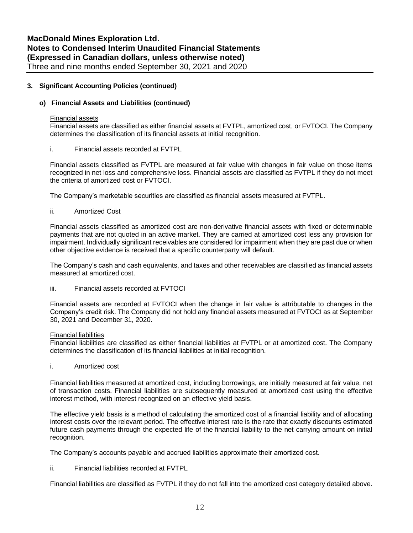#### **o) Financial Assets and Liabilities (continued)**

#### Financial assets

Financial assets are classified as either financial assets at FVTPL, amortized cost, or FVTOCI. The Company determines the classification of its financial assets at initial recognition.

#### i. Financial assets recorded at FVTPL

Financial assets classified as FVTPL are measured at fair value with changes in fair value on those items recognized in net loss and comprehensive loss. Financial assets are classified as FVTPL if they do not meet the criteria of amortized cost or FVTOCI.

The Company's marketable securities are classified as financial assets measured at FVTPL.

#### ii. Amortized Cost

Financial assets classified as amortized cost are non-derivative financial assets with fixed or determinable payments that are not quoted in an active market. They are carried at amortized cost less any provision for impairment. Individually significant receivables are considered for impairment when they are past due or when other objective evidence is received that a specific counterparty will default.

The Company's cash and cash equivalents, and taxes and other receivables are classified as financial assets measured at amortized cost.

iii. Financial assets recorded at FVTOCI

Financial assets are recorded at FVTOCI when the change in fair value is attributable to changes in the Company's credit risk. The Company did not hold any financial assets measured at FVTOCI as at September 30, 2021 and December 31, 2020.

#### Financial liabilities

Financial liabilities are classified as either financial liabilities at FVTPL or at amortized cost. The Company determines the classification of its financial liabilities at initial recognition.

i. Amortized cost

Financial liabilities measured at amortized cost, including borrowings, are initially measured at fair value, net of transaction costs. Financial liabilities are subsequently measured at amortized cost using the effective interest method, with interest recognized on an effective yield basis.

The effective yield basis is a method of calculating the amortized cost of a financial liability and of allocating interest costs over the relevant period. The effective interest rate is the rate that exactly discounts estimated future cash payments through the expected life of the financial liability to the net carrying amount on initial recognition.

The Company's accounts payable and accrued liabilities approximate their amortized cost.

ii. Financial liabilities recorded at FVTPL

Financial liabilities are classified as FVTPL if they do not fall into the amortized cost category detailed above.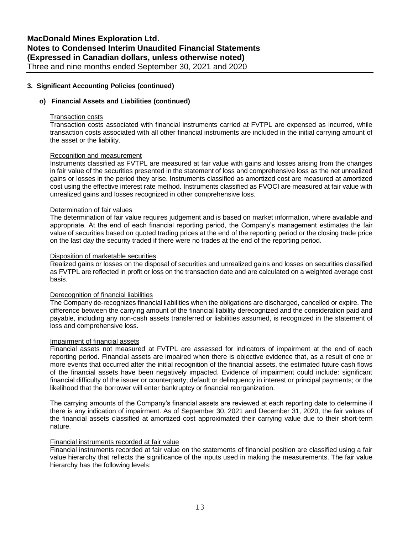#### **o) Financial Assets and Liabilities (continued)**

#### Transaction costs

Transaction costs associated with financial instruments carried at FVTPL are expensed as incurred, while transaction costs associated with all other financial instruments are included in the initial carrying amount of the asset or the liability.

#### Recognition and measurement

Instruments classified as FVTPL are measured at fair value with gains and losses arising from the changes in fair value of the securities presented in the statement of loss and comprehensive loss as the net unrealized gains or losses in the period they arise. Instruments classified as amortized cost are measured at amortized cost using the effective interest rate method. Instruments classified as FVOCI are measured at fair value with unrealized gains and losses recognized in other comprehensive loss.

#### Determination of fair values

The determination of fair value requires judgement and is based on market information, where available and appropriate. At the end of each financial reporting period, the Company's management estimates the fair value of securities based on quoted trading prices at the end of the reporting period or the closing trade price on the last day the security traded if there were no trades at the end of the reporting period.

#### Disposition of marketable securities

Realized gains or losses on the disposal of securities and unrealized gains and losses on securities classified as FVTPL are reflected in profit or loss on the transaction date and are calculated on a weighted average cost basis.

#### Derecognition of financial liabilities

The Company de-recognizes financial liabilities when the obligations are discharged, cancelled or expire. The difference between the carrying amount of the financial liability derecognized and the consideration paid and payable, including any non-cash assets transferred or liabilities assumed, is recognized in the statement of loss and comprehensive loss.

#### Impairment of financial assets

Financial assets not measured at FVTPL are assessed for indicators of impairment at the end of each reporting period. Financial assets are impaired when there is objective evidence that, as a result of one or more events that occurred after the initial recognition of the financial assets, the estimated future cash flows of the financial assets have been negatively impacted. Evidence of impairment could include: significant financial difficulty of the issuer or counterparty; default or delinquency in interest or principal payments; or the likelihood that the borrower will enter bankruptcy or financial reorganization.

The carrying amounts of the Company's financial assets are reviewed at each reporting date to determine if there is any indication of impairment. As of September 30, 2021 and December 31, 2020, the fair values of the financial assets classified at amortized cost approximated their carrying value due to their short-term nature.

#### Financial instruments recorded at fair value

Financial instruments recorded at fair value on the statements of financial position are classified using a fair value hierarchy that reflects the significance of the inputs used in making the measurements. The fair value hierarchy has the following levels: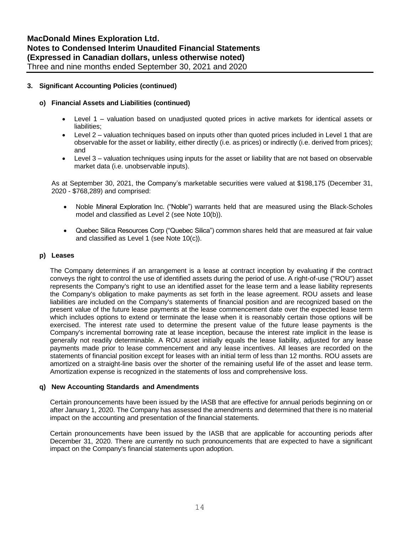#### **o) Financial Assets and Liabilities (continued)**

- Level 1 valuation based on unadjusted quoted prices in active markets for identical assets or liabilities:
- Level 2 valuation techniques based on inputs other than quoted prices included in Level 1 that are observable for the asset or liability, either directly (i.e. as prices) or indirectly (i.e. derived from prices); and
- Level 3 valuation techniques using inputs for the asset or liability that are not based on observable market data (i.e. unobservable inputs).

As at September 30, 2021, the Company's marketable securities were valued at \$198,175 (December 31, 2020 - \$768,289) and comprised:

- Noble Mineral Exploration Inc. ("Noble") warrants held that are measured using the Black-Scholes model and classified as Level 2 (see Note 10(b)).
- Quebec Silica Resources Corp ("Quebec Silica") common shares held that are measured at fair value and classified as Level 1 (see Note 10(c)).

#### **p) Leases**

The Company determines if an arrangement is a lease at contract inception by evaluating if the contract conveys the right to control the use of identified assets during the period of use. A right-of-use ("ROU") asset represents the Company's right to use an identified asset for the lease term and a lease liability represents the Company's obligation to make payments as set forth in the lease agreement. ROU assets and lease liabilities are included on the Company's statements of financial position and are recognized based on the present value of the future lease payments at the lease commencement date over the expected lease term which includes options to extend or terminate the lease when it is reasonably certain those options will be exercised. The interest rate used to determine the present value of the future lease payments is the Company's incremental borrowing rate at lease inception, because the interest rate implicit in the lease is generally not readily determinable. A ROU asset initially equals the lease liability, adjusted for any lease payments made prior to lease commencement and any lease incentives. All leases are recorded on the statements of financial position except for leases with an initial term of less than 12 months. ROU assets are amortized on a straight-line basis over the shorter of the remaining useful life of the asset and lease term. Amortization expense is recognized in the statements of loss and comprehensive loss.

#### **q) New Accounting Standards and Amendments**

Certain pronouncements have been issued by the IASB that are effective for annual periods beginning on or after January 1, 2020. The Company has assessed the amendments and determined that there is no material impact on the accounting and presentation of the financial statements.

Certain pronouncements have been issued by the IASB that are applicable for accounting periods after December 31, 2020. There are currently no such pronouncements that are expected to have a significant impact on the Company's financial statements upon adoption.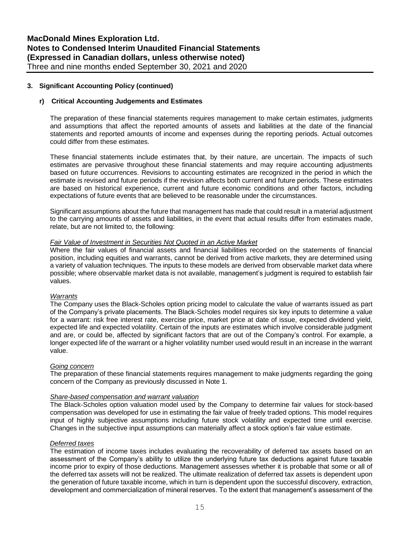#### **r) Critical Accounting Judgements and Estimates**

The preparation of these financial statements requires management to make certain estimates, judgments and assumptions that affect the reported amounts of assets and liabilities at the date of the financial statements and reported amounts of income and expenses during the reporting periods. Actual outcomes could differ from these estimates.

These financial statements include estimates that, by their nature, are uncertain. The impacts of such estimates are pervasive throughout these financial statements and may require accounting adjustments based on future occurrences. Revisions to accounting estimates are recognized in the period in which the estimate is revised and future periods if the revision affects both current and future periods. These estimates are based on historical experience, current and future economic conditions and other factors, including expectations of future events that are believed to be reasonable under the circumstances.

Significant assumptions about the future that management has made that could result in a material adjustment to the carrying amounts of assets and liabilities, in the event that actual results differ from estimates made, relate, but are not limited to, the following:

#### *Fair Value of Investment in Securities Not Quoted in an Active Market*

Where the fair values of financial assets and financial liabilities recorded on the statements of financial position, including equities and warrants, cannot be derived from active markets, they are determined using a variety of valuation techniques. The inputs to these models are derived from observable market data where possible; where observable market data is not available, management's judgment is required to establish fair values.

#### *Warrants*

The Company uses the Black-Scholes option pricing model to calculate the value of warrants issued as part of the Company's private placements. The Black-Scholes model requires six key inputs to determine a value for a warrant: risk free interest rate, exercise price, market price at date of issue, expected dividend yield, expected life and expected volatility. Certain of the inputs are estimates which involve considerable judgment and are, or could be, affected by significant factors that are out of the Company's control. For example, a longer expected life of the warrant or a higher volatility number used would result in an increase in the warrant value.

#### *Going concern*

The preparation of these financial statements requires management to make judgments regarding the going concern of the Company as previously discussed in Note 1.

#### *Share-based compensation and warrant valuation*

The Black-Scholes option valuation model used by the Company to determine fair values for stock-based compensation was developed for use in estimating the fair value of freely traded options. This model requires input of highly subjective assumptions including future stock volatility and expected time until exercise. Changes in the subjective input assumptions can materially affect a stock option's fair value estimate.

#### *Deferred taxes*

The estimation of income taxes includes evaluating the recoverability of deferred tax assets based on an assessment of the Company's ability to utilize the underlying future tax deductions against future taxable income prior to expiry of those deductions. Management assesses whether it is probable that some or all of the deferred tax assets will not be realized. The ultimate realization of deferred tax assets is dependent upon the generation of future taxable income, which in turn is dependent upon the successful discovery, extraction, development and commercialization of mineral reserves. To the extent that management's assessment of the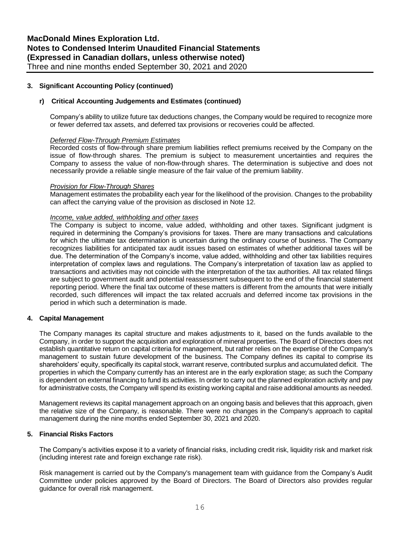#### **r) Critical Accounting Judgements and Estimates (continued)**

Company's ability to utilize future tax deductions changes, the Company would be required to recognize more or fewer deferred tax assets, and deferred tax provisions or recoveries could be affected.

#### *Deferred Flow-Through Premium Estimates*

Recorded costs of flow-through share premium liabilities reflect premiums received by the Company on the issue of flow-through shares. The premium is subject to measurement uncertainties and requires the Company to assess the value of non-flow-through shares. The determination is subjective and does not necessarily provide a reliable single measure of the fair value of the premium liability.

#### *Provision for Flow-Through Shares*

Management estimates the probability each year for the likelihood of the provision. Changes to the probability can affect the carrying value of the provision as disclosed in Note 12.

#### *Income, value added, withholding and other taxes*

The Company is subject to income, value added, withholding and other taxes. Significant judgment is required in determining the Company's provisions for taxes. There are many transactions and calculations for which the ultimate tax determination is uncertain during the ordinary course of business. The Company recognizes liabilities for anticipated tax audit issues based on estimates of whether additional taxes will be due. The determination of the Company's income, value added, withholding and other tax liabilities requires interpretation of complex laws and regulations. The Company's interpretation of taxation law as applied to transactions and activities may not coincide with the interpretation of the tax authorities. All tax related filings are subject to government audit and potential reassessment subsequent to the end of the financial statement reporting period. Where the final tax outcome of these matters is different from the amounts that were initially recorded, such differences will impact the tax related accruals and deferred income tax provisions in the period in which such a determination is made.

#### **4. Capital Management**

The Company manages its capital structure and makes adjustments to it, based on the funds available to the Company, in order to support the acquisition and exploration of mineral properties. The Board of Directors does not establish quantitative return on capital criteria for management, but rather relies on the expertise of the Company's management to sustain future development of the business. The Company defines its capital to comprise its shareholders' equity, specifically its capital stock, warrant reserve, contributed surplus and accumulated deficit. The properties in which the Company currently has an interest are in the early exploration stage; as such the Company is dependent on external financing to fund its activities. In order to carry out the planned exploration activity and pay for administrative costs, the Company will spend its existing working capital and raise additional amounts as needed.

Management reviews its capital management approach on an ongoing basis and believes that this approach, given the relative size of the Company, is reasonable. There were no changes in the Company's approach to capital management during the nine months ended September 30, 2021 and 2020.

#### **5. Financial Risks Factors**

The Company's activities expose it to a variety of financial risks, including credit risk, liquidity risk and market risk (including interest rate and foreign exchange rate risk).

Risk management is carried out by the Company's management team with guidance from the Company's Audit Committee under policies approved by the Board of Directors. The Board of Directors also provides regular guidance for overall risk management.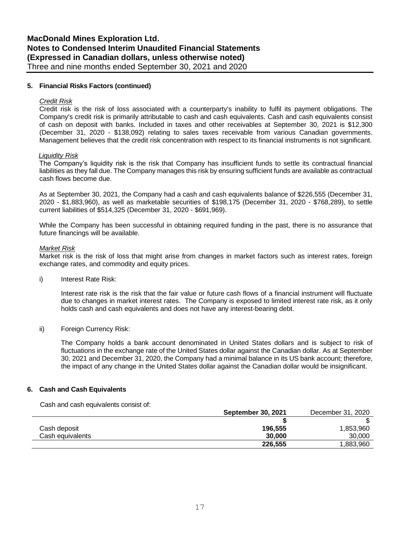#### **5. Financial Risks Factors (continued)**

#### *Credit Risk*

Credit risk is the risk of loss associated with a counterparty's inability to fulfil its payment obligations. The Company's credit risk is primarily attributable to cash and cash equivalents. Cash and cash equivalents consist of cash on deposit with banks. Included in taxes and other receivables at September 30, 2021 is \$12,300 (December 31, 2020 - \$138,092) relating to sales taxes receivable from various Canadian governments. Management believes that the credit risk concentration with respect to its financial instruments is not significant.

#### *Liquidity Risk*

The Company's liquidity risk is the risk that Company has insufficient funds to settle its contractual financial liabilities as they fall due. The Company manages this risk by ensuring sufficient funds are available as contractual cash flows become due.

As at September 30, 2021, the Company had a cash and cash equivalents balance of \$226,555 (December 31, 2020 - \$1,883,960), as well as marketable securities of \$198,175 (December 31, 2020 - \$768,289), to settle current liabilities of \$514,325 (December 31, 2020 - \$691,969).

While the Company has been successful in obtaining required funding in the past, there is no assurance that future financings will be available.

#### *Market Risk*

Market risk is the risk of loss that might arise from changes in market factors such as interest rates, foreign exchange rates, and commodity and equity prices.

i) Interest Rate Risk:

Interest rate risk is the risk that the fair value or future cash flows of a financial instrument will fluctuate due to changes in market interest rates. The Company is exposed to limited interest rate risk, as it only holds cash and cash equivalents and does not have any interest-bearing debt.

ii) Foreign Currency Risk:

The Company holds a bank account denominated in United States dollars and is subject to risk of fluctuations in the exchange rate of the United States dollar against the Canadian dollar. As at September 30, 2021 and December 31, 2020, the Company had a minimal balance in its US bank account; therefore, the impact of any change in the United States dollar against the Canadian dollar would be insignificant.

#### **6. Cash and Cash Equivalents**

Cash and cash equivalents consist of:

|                  | <b>September 30, 2021</b> | December 31, 2020 |
|------------------|---------------------------|-------------------|
|                  |                           |                   |
| Cash deposit     | 196,555                   | 1,853,960         |
| Cash equivalents | 30,000                    | 30,000            |
|                  | 226,555                   | 1,883,960         |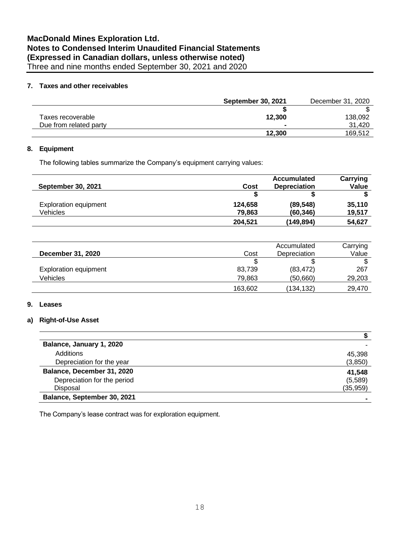#### **7. Taxes and other receivables**

|                        | <b>September 30, 2021</b> | December 31, 2020 |
|------------------------|---------------------------|-------------------|
|                        |                           |                   |
| Taxes recoverable      | 12.300                    | 138,092           |
| Due from related party | $\blacksquare$            | 31.420            |
|                        | 12.300                    | 169.512           |

#### **8. Equipment**

The following tables summarize the Company's equipment carrying values:

|                              |         | <b>Accumulated</b>  | Carrying |
|------------------------------|---------|---------------------|----------|
| <b>September 30, 2021</b>    | Cost    | <b>Depreciation</b> | Value    |
|                              |         |                     |          |
| <b>Exploration equipment</b> | 124,658 | (89, 548)           | 35.110   |
| Vehicles                     | 79.863  | (60, 346)           | 19,517   |
|                              | 204,521 | (149,894)           | 54.627   |

| December 31, 2020            | Cost    | Accumulated<br>Depreciation | Carrying<br>Value |
|------------------------------|---------|-----------------------------|-------------------|
|                              |         |                             |                   |
| <b>Exploration equipment</b> | 83,739  | (83, 472)                   | 267               |
| Vehicles                     | 79.863  | (50,660)                    | 29,203            |
|                              | 163,602 | (134,132)                   | 29,470            |

#### **9. Leases**

#### **a) Right-of-Use Asset**

| Balance, January 1, 2020    |           |
|-----------------------------|-----------|
| Additions                   | 45,398    |
| Depreciation for the year   | (3,850)   |
| Balance, December 31, 2020  | 41,548    |
| Depreciation for the period | (5,589)   |
| Disposal                    | (35, 959) |
| Balance, September 30, 2021 |           |

The Company's lease contract was for exploration equipment.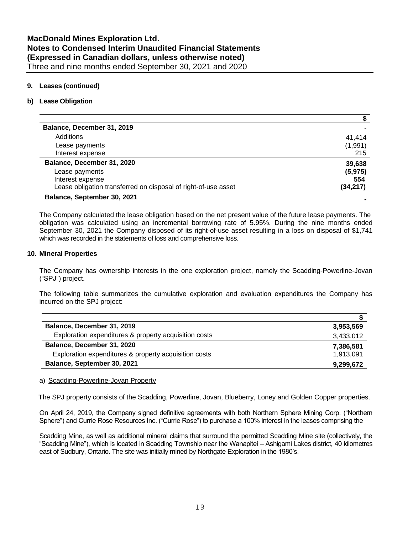#### **9. Leases (continued)**

#### **b) Lease Obligation**

| Balance, December 31, 2019                                     |           |
|----------------------------------------------------------------|-----------|
| Additions                                                      | 41.414    |
| Lease payments                                                 | (1,991)   |
| Interest expense                                               | 215       |
| Balance, December 31, 2020                                     | 39,638    |
| Lease payments                                                 | (5, 975)  |
| Interest expense                                               | 554       |
| Lease obligation transferred on disposal of right-of-use asset | (34, 217) |
| Balance, September 30, 2021                                    |           |

The Company calculated the lease obligation based on the net present value of the future lease payments. The obligation was calculated using an incremental borrowing rate of 5.95%. During the nine months ended September 30, 2021 the Company disposed of its right-of-use asset resulting in a loss on disposal of \$1,741 which was recorded in the statements of loss and comprehensive loss.

#### **10. Mineral Properties**

The Company has ownership interests in the one exploration project, namely the Scadding-Powerline-Jovan ("SPJ") project.

The following table summarizes the cumulative exploration and evaluation expenditures the Company has incurred on the SPJ project:

| Balance, December 31, 2019                            | 3,953,569 |
|-------------------------------------------------------|-----------|
| Exploration expenditures & property acquisition costs | 3,433,012 |
| Balance, December 31, 2020                            | 7,386,581 |
| Exploration expenditures & property acquisition costs | 1,913,091 |
| Balance, September 30, 2021                           | 9,299,672 |

#### a) Scadding-Powerline-Jovan Property

The SPJ property consists of the Scadding, Powerline, Jovan, Blueberry, Loney and Golden Copper properties.

On April 24, 2019, the Company signed definitive agreements with both Northern Sphere Mining Corp. ("Northern Sphere") and Currie Rose Resources Inc. ("Currie Rose") to purchase a 100% interest in the leases comprising the

Scadding Mine, as well as additional mineral claims that surround the permitted Scadding Mine site (collectively, the "Scadding Mine"), which is located in Scadding Township near the Wanapitei – Ashigami Lakes district, 40 kilometres east of Sudbury, Ontario. The site was initially mined by Northgate Exploration in the 1980's.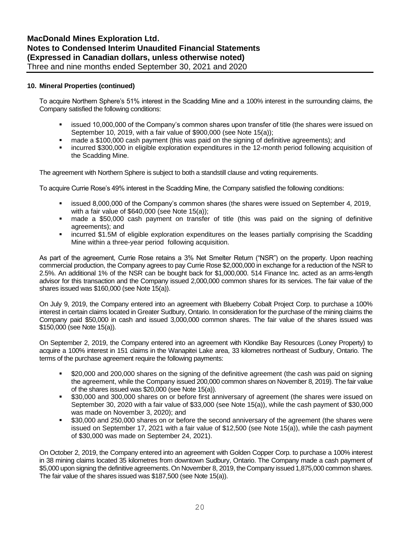#### **10. Mineral Properties (continued)**

To acquire Northern Sphere's 51% interest in the Scadding Mine and a 100% interest in the surrounding claims, the Company satisfied the following conditions:

- issued 10,000,000 of the Company's common shares upon transfer of title (the shares were issued on September 10, 2019, with a fair value of \$900,000 (see Note 15(a));
- made a \$100,000 cash payment (this was paid on the signing of definitive agreements); and
- incurred \$300,000 in eligible exploration expenditures in the 12-month period following acquisition of the Scadding Mine.

The agreement with Northern Sphere is subject to both a standstill clause and voting requirements.

To acquire Currie Rose's 49% interest in the Scadding Mine, the Company satisfied the following conditions:

- issued 8,000,000 of the Company's common shares (the shares were issued on September 4, 2019, with a fair value of \$640,000 (see Note 15(a));
- made a \$50,000 cash payment on transfer of title (this was paid on the signing of definitive agreements); and
- incurred \$1.5M of eligible exploration expenditures on the leases partially comprising the Scadding Mine within a three-year period following acquisition.

As part of the agreement, Currie Rose retains a 3% Net Smelter Return ("NSR") on the property. Upon reaching commercial production, the Company agrees to pay Currie Rose \$2,000,000 in exchange for a reduction of the NSR to 2.5%. An additional 1% of the NSR can be bought back for \$1,000,000. 514 Finance Inc. acted as an arms-length advisor for this transaction and the Company issued 2,000,000 common shares for its services. The fair value of the shares issued was \$160,000 (see Note 15(a)).

On July 9, 2019, the Company entered into an agreement with Blueberry Cobalt Project Corp. to purchase a 100% interest in certain claims located in Greater Sudbury, Ontario. In consideration for the purchase of the mining claims the Company paid \$50,000 in cash and issued 3,000,000 common shares. The fair value of the shares issued was \$150,000 (see Note 15(a)).

On September 2, 2019, the Company entered into an agreement with Klondike Bay Resources (Loney Property) to acquire a 100% interest in 151 claims in the Wanapitei Lake area, 33 kilometres northeast of Sudbury, Ontario. The terms of the purchase agreement require the following payments:

- \$20,000 and 200,000 shares on the signing of the definitive agreement (the cash was paid on signing the agreement, while the Company issued 200,000 common shares on November 8, 2019). The fair value of the shares issued was \$20,000 (see Note 15(a)).
- \$30,000 and 300,000 shares on or before first anniversary of agreement (the shares were issued on September 30, 2020 with a fair value of \$33,000 (see Note 15(a)), while the cash payment of \$30,000 was made on November 3, 2020); and
- \$30,000 and 250,000 shares on or before the second anniversary of the agreement (the shares were issued on September 17, 2021 with a fair value of \$12,500 (see Note 15(a)), while the cash payment of \$30,000 was made on September 24, 2021).

On October 2, 2019, the Company entered into an agreement with Golden Copper Corp. to purchase a 100% interest in 38 mining claims located 35 kilometres from downtown Sudbury, Ontario. The Company made a cash payment of \$5,000 upon signing the definitive agreements. On November 8, 2019, the Company issued 1,875,000 common shares. The fair value of the shares issued was \$187,500 (see Note 15(a)).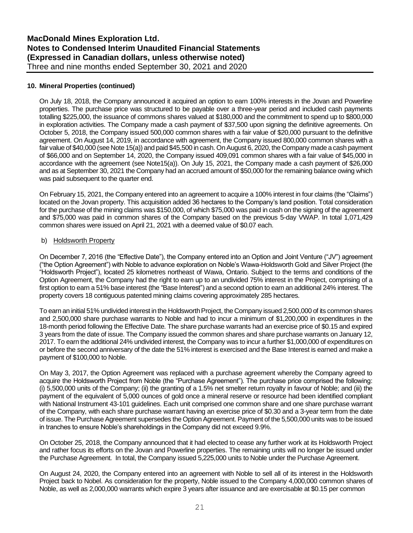#### **10. Mineral Properties (continued)**

On July 18, 2018, the Company announced it acquired an option to earn 100% interests in the Jovan and Powerline properties. The purchase price was structured to be payable over a three-year period and included cash payments totalling \$225,000, the issuance of commons shares valued at \$180,000 and the commitment to spend up to \$800,000 in exploration activities. The Company made a cash payment of \$37,500 upon signing the definitive agreements. On October 5, 2018, the Company issued 500,000 common shares with a fair value of \$20,000 pursuant to the definitive agreement. On August 14, 2019, in accordance with agreement, the Company issued 800,000 common shares with a fair value of \$40,000 (see Note 15(a)) and paid \$45,500 in cash. On August 6, 2020, the Company made a cash payment of \$66,000 and on September 14, 2020, the Company issued 409,091 common shares with a fair value of \$45,000 in accordance with the agreement (see Note15(a)). On July 15, 2021, the Company made a cash payment of \$26,000 and as at September 30, 2021 the Company had an accrued amount of \$50,000 for the remaining balance owing which was paid subsequent to the quarter end.

On February 15, 2021, the Company entered into an agreement to acquire a 100% interest in four claims (the "Claims") located on the Jovan property. This acquisition added 36 hectares to the Company's land position. Total consideration for the purchase of the mining claims was \$150,000, of which \$75,000 was paid in cash on the signing of the agreement and \$75,000 was paid in common shares of the Company based on the previous 5-day VWAP. In total 1,071,429 common shares were issued on April 21, 2021 with a deemed value of \$0.07 each.

#### b) Holdsworth Property

On December 7, 2016 (the "Effective Date"), the Company entered into an Option and Joint Venture ("JV") agreement ("the Option Agreement") with Noble to advance exploration on Noble's Wawa-Holdsworth Gold and Silver Project (the "Holdsworth Project"), located 25 kilometres northeast of Wawa, Ontario. Subject to the terms and conditions of the Option Agreement, the Company had the right to earn up to an undivided 75% interest in the Project, comprising of a first option to earn a 51% base interest (the "Base Interest") and a second option to earn an additional 24% interest. The property covers 18 contiguous patented mining claims covering approximately 285 hectares.

To earn an initial 51% undivided interest in the Holdsworth Project, the Company issued 2,500,000 of its common shares and 2,500,000 share purchase warrants to Noble and had to incur a minimum of \$1,200,000 in expenditures in the 18-month period following the Effective Date. The share purchase warrants had an exercise price of \$0.15 and expired 3 years from the date of issue. The Company issued the common shares and share purchase warrants on January 12, 2017. To earn the additional 24% undivided interest, the Company was to incur a further \$1,000,000 of expenditures on or before the second anniversary of the date the 51% interest is exercised and the Base Interest is earned and make a payment of \$100,000 to Noble.

On May 3, 2017, the Option Agreement was replaced with a purchase agreement whereby the Company agreed to acquire the Holdsworth Project from Noble (the "Purchase Agreement"). The purchase price comprised the following: (i) 5,500,000 units of the Company; (ii) the granting of a 1.5% net smelter return royalty in favour of Noble; and (iii) the payment of the equivalent of 5,000 ounces of gold once a mineral reserve or resource had been identified compliant with National Instrument 43-101 guidelines. Each unit comprised one common share and one share purchase warrant of the Company, with each share purchase warrant having an exercise price of \$0.30 and a 3-year term from the date of issue. The Purchase Agreement supersedes the Option Agreement. Payment of the 5,500,000 units was to be issued in tranches to ensure Noble's shareholdings in the Company did not exceed 9.9%.

On October 25, 2018, the Company announced that it had elected to cease any further work at its Holdsworth Project and rather focus its efforts on the Jovan and Powerline properties. The remaining units will no longer be issued under the Purchase Agreement. In total, the Company issued 5,225,000 units to Noble under the Purchase Agreement.

On August 24, 2020, the Company entered into an agreement with Noble to sell all of its interest in the Holdsworth Project back to Nobel. As consideration for the property, Noble issued to the Company 4,000,000 common shares of Noble, as well as 2,000,000 warrants which expire 3 years after issuance and are exercisable at \$0.15 per common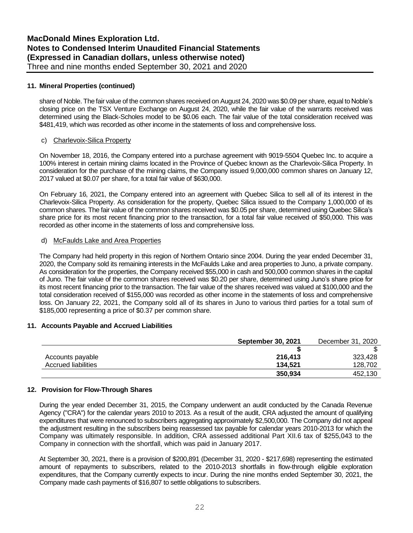#### **11. Mineral Properties (continued)**

share of Noble. The fair value of the common shares received on August 24, 2020 was \$0.09 per share, equal to Noble's closing price on the TSX Venture Exchange on August 24, 2020, while the fair value of the warrants received was determined using the Black-Scholes model to be \$0.06 each. The fair value of the total consideration received was \$481,419, which was recorded as other income in the statements of loss and comprehensive loss.

#### c) Charlevoix-Silica Property

On November 18, 2016, the Company entered into a purchase agreement with 9019-5504 Quebec Inc. to acquire a 100% interest in certain mining claims located in the Province of Quebec known as the Charlevoix-Silica Property. In consideration for the purchase of the mining claims, the Company issued 9,000,000 common shares on January 12, 2017 valued at \$0.07 per share, for a total fair value of \$630,000.

On February 16, 2021, the Company entered into an agreement with Quebec Silica to sell all of its interest in the Charlevoix-Silica Property. As consideration for the property, Quebec Silica issued to the Company 1,000,000 of its common shares. The fair value of the common shares received was \$0.05 per share, determined using Quebec Silica's share price for its most recent financing prior to the transaction, for a total fair value received of \$50,000. This was recorded as other income in the statements of loss and comprehensive loss.

#### d) McFaulds Lake and Area Properties

The Company had held property in this region of Northern Ontario since 2004. During the year ended December 31, 2020, the Company sold its remaining interests in the McFaulds Lake and area properties to Juno, a private company. As consideration for the properties, the Company received \$55,000 in cash and 500,000 common shares in the capital of Juno. The fair value of the common shares received was \$0.20 per share, determined using Juno's share price for its most recent financing prior to the transaction. The fair value of the shares received was valued at \$100,000 and the total consideration received of \$155,000 was recorded as other income in the statements of loss and comprehensive loss. On January 22, 2021, the Company sold all of its shares in Juno to various third parties for a total sum of \$185,000 representing a price of \$0.37 per common share.

#### **11. Accounts Payable and Accrued Liabilities**

|                            | <b>September 30, 2021</b> | December 31, 2020 |
|----------------------------|---------------------------|-------------------|
|                            |                           |                   |
| Accounts payable           | 216,413                   | 323.428           |
| <b>Accrued liabilities</b> | 134.521                   | 128,702           |
|                            | 350,934                   | 452,130           |

#### **12. Provision for Flow-Through Shares**

During the year ended December 31, 2015, the Company underwent an audit conducted by the Canada Revenue Agency ("CRA") for the calendar years 2010 to 2013. As a result of the audit, CRA adjusted the amount of qualifying expenditures that were renounced to subscribers aggregating approximately \$2,500,000. The Company did not appeal the adjustment resulting in the subscribers being reassessed tax payable for calendar years 2010-2013 for which the Company was ultimately responsible. In addition, CRA assessed additional Part XII.6 tax of \$255,043 to the Company in connection with the shortfall, which was paid in January 2017.

At September 30, 2021, there is a provision of \$200,891 (December 31, 2020 - \$217,698) representing the estimated amount of repayments to subscribers, related to the 2010-2013 shortfalls in flow-through eligible exploration expenditures, that the Company currently expects to incur. During the nine months ended September 30, 2021, the Company made cash payments of \$16,807 to settle obligations to subscribers.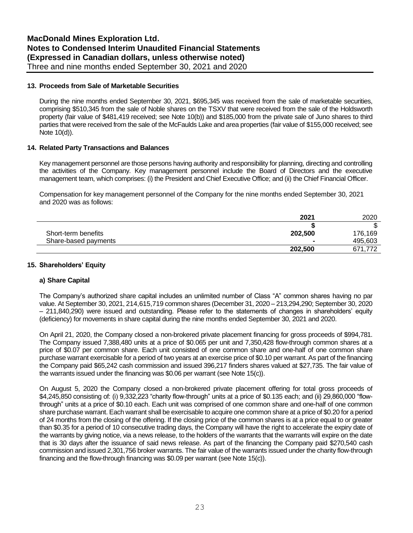#### **13. Proceeds from Sale of Marketable Securities**

During the nine months ended September 30, 2021, \$695,345 was received from the sale of marketable securities, comprising \$510,345 from the sale of Noble shares on the TSXV that were received from the sale of the Holdsworth property (fair value of \$481,419 received; see Note 10(b)) and \$185,000 from the private sale of Juno shares to third parties that were received from the sale of the McFaulds Lake and area properties (fair value of \$155,000 received; see Note 10(d)).

#### **14. Related Party Transactions and Balances**

Key management personnel are those persons having authority and responsibility for planning, directing and controlling the activities of the Company. Key management personnel include the Board of Directors and the executive management team, which comprises: (i) the President and Chief Executive Office; and (ii) the Chief Financial Officer.

Compensation for key management personnel of the Company for the nine months ended September 30, 2021 and 2020 was as follows:

|                      | 2021    | 2020    |
|----------------------|---------|---------|
|                      |         |         |
| Short-term benefits  | 202,500 | 176.169 |
| Share-based payments |         | 495,603 |
|                      | 202,500 | 671,772 |

#### **15. Shareholders' Equity**

#### **a) Share Capital**

The Company's authorized share capital includes an unlimited number of Class "A" common shares having no par value. At September 30, 2021, 214,615,719 common shares (December 31, 2020 – 213,294,290; September 30, 2020 – 211,840,290) were issued and outstanding. Please refer to the statements of changes in shareholders' equity (deficiency) for movements in share capital during the nine months ended September 30, 2021 and 2020.

On April 21, 2020, the Company closed a non-brokered private placement financing for gross proceeds of \$994,781. The Company issued 7,388,480 units at a price of \$0.065 per unit and 7,350,428 flow-through common shares at a price of \$0.07 per common share. Each unit consisted of one common share and one-half of one common share purchase warrant exercisable for a period of two years at an exercise price of \$0.10 per warrant. As part of the financing the Company paid \$65,242 cash commission and issued 396,217 finders shares valued at \$27,735. The fair value of the warrants issued under the financing was \$0.06 per warrant (see Note 15(c)).

On August 5, 2020 the Company closed a non-brokered private placement offering for total gross proceeds of \$4,245,850 consisting of: (i) 9,332,223 "charity flow-through" units at a price of \$0.135 each; and (ii) 29,860,000 "flowthrough" units at a price of \$0.10 each. Each unit was comprised of one common share and one-half of one common share purchase warrant. Each warrant shall be exercisable to acquire one common share at a price of \$0.20 for a period of 24 months from the closing of the offering. If the closing price of the common shares is at a price equal to or greater than \$0.35 for a period of 10 consecutive trading days, the Company will have the right to accelerate the expiry date of the warrants by giving notice, via a news release, to the holders of the warrants that the warrants will expire on the date that is 30 days after the issuance of said news release. As part of the financing the Company paid \$270,540 cash commission and issued 2,301,756 broker warrants. The fair value of the warrants issued under the charity flow-through financing and the flow-through financing was \$0.09 per warrant (see Note 15(c)).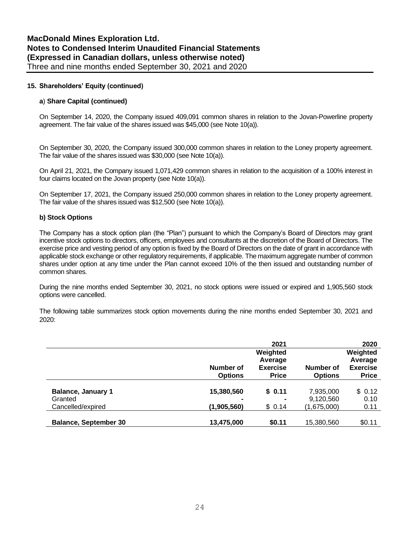#### **15. Shareholders' Equity (continued)**

#### **a**) **Share Capital (continued)**

On September 14, 2020, the Company issued 409,091 common shares in relation to the Jovan-Powerline property agreement. The fair value of the shares issued was \$45,000 (see Note 10(a)).

On September 30, 2020, the Company issued 300,000 common shares in relation to the Loney property agreement. The fair value of the shares issued was \$30,000 (see Note 10(a)).

On April 21, 2021, the Company issued 1,071,429 common shares in relation to the acquisition of a 100% interest in four claims located on the Jovan property (see Note 10(a)).

On September 17, 2021, the Company issued 250,000 common shares in relation to the Loney property agreement. The fair value of the shares issued was \$12,500 (see Note 10(a)).

#### **b) Stock Options**

The Company has a stock option plan (the "Plan") pursuant to which the Company's Board of Directors may grant incentive stock options to directors, officers, employees and consultants at the discretion of the Board of Directors. The exercise price and vesting period of any option is fixed by the Board of Directors on the date of grant in accordance with applicable stock exchange or other regulatory requirements, if applicable. The maximum aggregate number of common shares under option at any time under the Plan cannot exceed 10% of the then issued and outstanding number of common shares.

During the nine months ended September 30, 2021, no stock options were issued or expired and 1,905,560 stock options were cancelled.

The following table summarizes stock option movements during the nine months ended September 30, 2021 and 2020:

|                              |                | 2021            |                | 2020            |
|------------------------------|----------------|-----------------|----------------|-----------------|
|                              |                | Weighted        |                | Weighted        |
|                              |                | Average         |                | Average         |
|                              | Number of      | <b>Exercise</b> | Number of      | <b>Exercise</b> |
|                              | <b>Options</b> | <b>Price</b>    | <b>Options</b> | <b>Price</b>    |
|                              |                |                 |                |                 |
| <b>Balance, January 1</b>    | 15,380,560     | \$0.11          | 7,935,000      | \$0.12          |
| Granted                      |                |                 | 9,120,560      | 0.10            |
| Cancelled/expired            | (1,905,560)    | \$0.14          | (1,675,000)    | 0.11            |
|                              |                |                 |                |                 |
| <b>Balance, September 30</b> | 13,475,000     | \$0.11          | 15,380,560     | \$0.11          |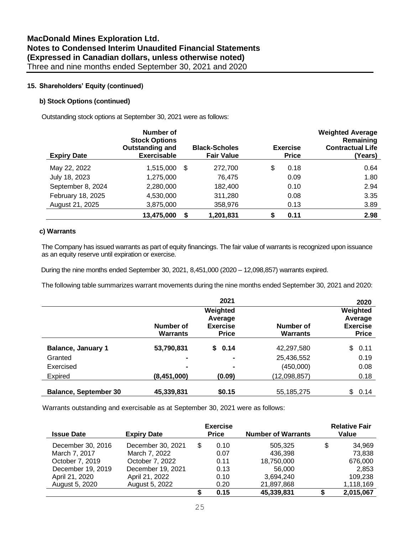#### **15. Shareholders' Equity (continued)**

#### **b) Stock Options (continued)**

Outstanding stock options at September 30, 2021 were as follows:

| <b>Expiry Date</b> | Number of<br><b>Stock Options</b><br>Outstanding and<br><b>Exercisable</b> | <b>Black-Scholes</b><br><b>Fair Value</b> |    | <b>Exercise</b><br><b>Price</b> | <b>Weighted Average</b><br>Remaining<br><b>Contractual Life</b><br>(Years) |
|--------------------|----------------------------------------------------------------------------|-------------------------------------------|----|---------------------------------|----------------------------------------------------------------------------|
| May 22, 2022       | 1,515,000                                                                  | \$<br>272,700                             | \$ | 0.18                            | 0.64                                                                       |
| July 18, 2023      | 1,275,000                                                                  | 76,475                                    |    | 0.09                            | 1.80                                                                       |
| September 8, 2024  | 2,280,000                                                                  | 182,400                                   |    | 0.10                            | 2.94                                                                       |
| February 18, 2025  | 4,530,000                                                                  | 311,280                                   |    | 0.08                            | 3.35                                                                       |
| August 21, 2025    | 3,875,000                                                                  | 358,976                                   |    | 0.13                            | 3.89                                                                       |
|                    | 13,475,000                                                                 | 1,201,831                                 | S  | 0.11                            | 2.98                                                                       |

#### **c) Warrants**

The Company has issued warrants as part of equity financings. The fair value of warrants is recognized upon issuance as an equity reserve until expiration or exercise.

During the nine months ended September 30, 2021, 8,451,000 (2020 – 12,098,857) warrants expired.

The following table summarizes warrant movements during the nine months ended September 30, 2021 and 2020:

|                              |                       | 2021                                                   |                       | 2020                                                   |
|------------------------------|-----------------------|--------------------------------------------------------|-----------------------|--------------------------------------------------------|
|                              | Number of<br>Warrants | Weighted<br>Average<br><b>Exercise</b><br><b>Price</b> | Number of<br>Warrants | Weighted<br>Average<br><b>Exercise</b><br><b>Price</b> |
| <b>Balance, January 1</b>    | 53,790,831            | \$0.14                                                 | 42,297,580            | 0.11<br>\$                                             |
| Granted                      | $\blacksquare$        | $\blacksquare$                                         | 25,436,552            | 0.19                                                   |
| Exercised                    | $\blacksquare$        | $\blacksquare$                                         | (450,000)             | 0.08                                                   |
| <b>Expired</b>               | (8, 451, 000)         | (0.09)                                                 | (12,098,857)          | 0.18                                                   |
| <b>Balance, September 30</b> | 45,339,831            | \$0.15                                                 | 55, 185, 275          | \$<br>0.14                                             |

Warrants outstanding and exercisable as at September 30, 2021 were as follows:

| <b>Issue Date</b> | <b>Expiry Date</b> |   | <b>Exercise</b><br><b>Price</b> | <b>Number of Warrants</b> | <b>Relative Fair</b><br>Value |
|-------------------|--------------------|---|---------------------------------|---------------------------|-------------------------------|
| December 30, 2016 | December 30, 2021  | S | 0.10                            | 505,325                   | \$<br>34,969                  |
| March 7, 2017     | March 7, 2022      |   | 0.07                            | 436.398                   | 73,838                        |
| October 7, 2019   | October 7, 2022    |   | 0.11                            | 18,750,000                | 676,000                       |
| December 19, 2019 | December 19, 2021  |   | 0.13                            | 56.000                    | 2.853                         |
| April 21, 2020    | April 21, 2022     |   | 0.10                            | 3,694,240                 | 109,238                       |
| August 5, 2020    | August 5, 2022     |   | 0.20                            | 21,897,868                | 1,118,169                     |
|                   |                    |   | 0.15                            | 45,339,831                | 2,015,067                     |